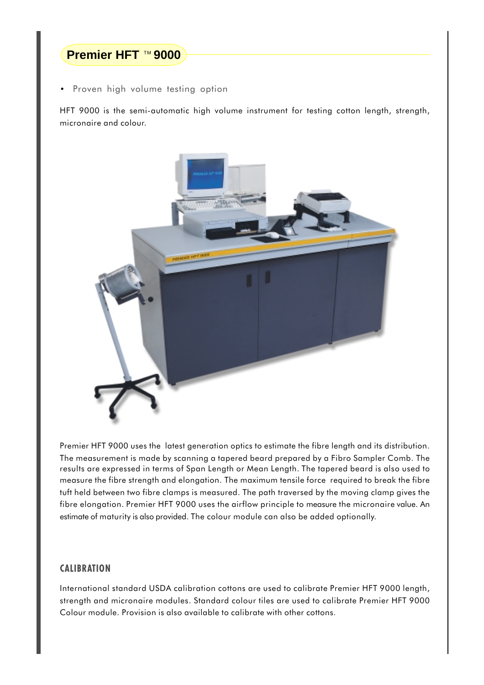## Premier HFT ™ 9000

Proven high volume testing option

HFT 9000 is the semi-automatic high volume instrument for testing cotton length, strength, micronaire and colour.



Premier HFT 9000 uses the latest generation optics to estimate the fibre length and its distribution. The measurement is made by scanning a tapered beard prepared by a Fibro Sampler Comb. The results are expressed in terms of Span Length or Mean Length. The tapered beard is also used to measure the fibre strength and elongation. The maximum tensile force required to break the fibre tuft held between two fibre clamps is measured. The path traversed by the moving clamp gives the fibre elongation. Premier HFT 9000 uses the airflow principle to measure the micronaire value. An estimate of maturity is also provided. The colour module can also be added optionally.

## **CALIBRATION**

International standard USDA calibration cottons are used to calibrate Premier HFT 9000 length, strength and micronaire modules. Standard colour tiles are used to calibrate Premier HFT 9000 Colour module. Provision is also available to calibrate with other cottons.